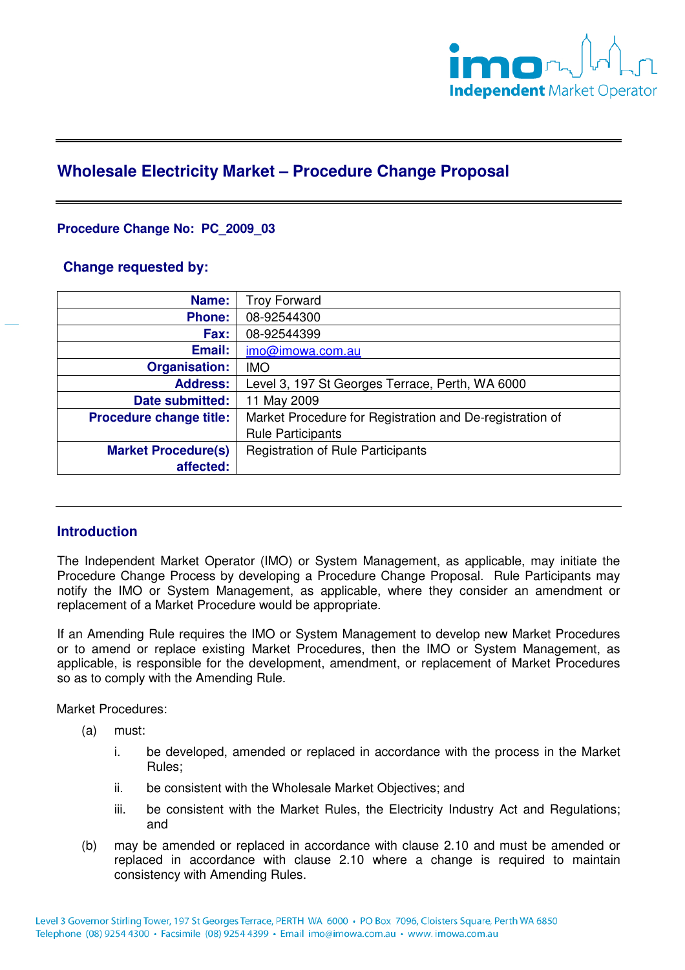

# **Wholesale Electricity Market – Procedure Change Proposal**

## **Procedure Change No: PC\_2009\_03**

## **Change requested by:**

| Name:                          | <b>Troy Forward</b>                                      |
|--------------------------------|----------------------------------------------------------|
| <b>Phone:</b>                  | 08-92544300                                              |
| Fax:                           | 08-92544399                                              |
| Email:                         | imo@imowa.com.au                                         |
| <b>Organisation:</b>           | <b>IMO</b>                                               |
| <b>Address:</b>                | Level 3, 197 St Georges Terrace, Perth, WA 6000          |
| Date submitted:                | 11 May 2009                                              |
| <b>Procedure change title:</b> | Market Procedure for Registration and De-registration of |
|                                | <b>Rule Participants</b>                                 |
| <b>Market Procedure(s)</b>     | <b>Registration of Rule Participants</b>                 |
| affected:                      |                                                          |

# **Introduction**

The Independent Market Operator (IMO) or System Management, as applicable, may initiate the Procedure Change Process by developing a Procedure Change Proposal. Rule Participants may notify the IMO or System Management, as applicable, where they consider an amendment or replacement of a Market Procedure would be appropriate.

If an Amending Rule requires the IMO or System Management to develop new Market Procedures or to amend or replace existing Market Procedures, then the IMO or System Management, as applicable, is responsible for the development, amendment, or replacement of Market Procedures so as to comply with the Amending Rule.

Market Procedures:

- (a) must:
	- i. be developed, amended or replaced in accordance with the process in the Market Rules;
	- ii. be consistent with the Wholesale Market Objectives; and
	- iii. be consistent with the Market Rules, the Electricity Industry Act and Regulations; and
- (b) may be amended or replaced in accordance with clause 2.10 and must be amended or replaced in accordance with clause 2.10 where a change is required to maintain consistency with Amending Rules.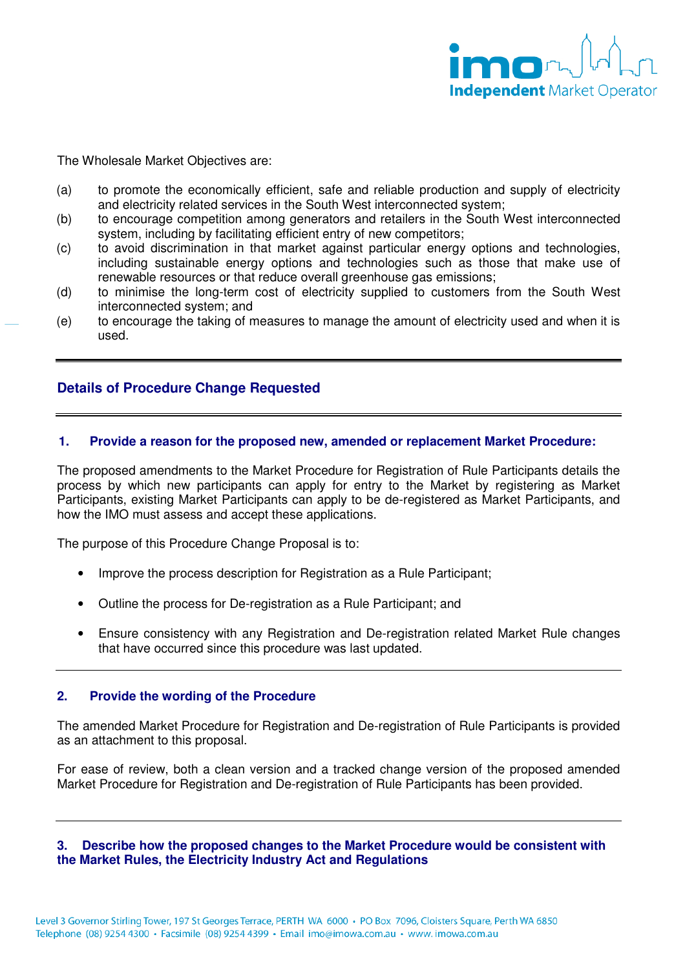

The Wholesale Market Objectives are:

- (a) to promote the economically efficient, safe and reliable production and supply of electricity and electricity related services in the South West interconnected system;
- (b) to encourage competition among generators and retailers in the South West interconnected system, including by facilitating efficient entry of new competitors;
- (c) to avoid discrimination in that market against particular energy options and technologies, including sustainable energy options and technologies such as those that make use of renewable resources or that reduce overall greenhouse gas emissions;
- (d) to minimise the long-term cost of electricity supplied to customers from the South West interconnected system; and
- (e) to encourage the taking of measures to manage the amount of electricity used and when it is used.

## **Details of Procedure Change Requested**

#### **1. Provide a reason for the proposed new, amended or replacement Market Procedure:**

The proposed amendments to the Market Procedure for Registration of Rule Participants details the process by which new participants can apply for entry to the Market by registering as Market Participants, existing Market Participants can apply to be de-registered as Market Participants, and how the IMO must assess and accept these applications.

The purpose of this Procedure Change Proposal is to:

- Improve the process description for Registration as a Rule Participant;
- Outline the process for De-registration as a Rule Participant; and
- Ensure consistency with any Registration and De-registration related Market Rule changes that have occurred since this procedure was last updated.

#### **2. Provide the wording of the Procedure**

The amended Market Procedure for Registration and De-registration of Rule Participants is provided as an attachment to this proposal.

For ease of review, both a clean version and a tracked change version of the proposed amended Market Procedure for Registration and De-registration of Rule Participants has been provided.

#### **3. Describe how the proposed changes to the Market Procedure would be consistent with the Market Rules, the Electricity Industry Act and Regulations**